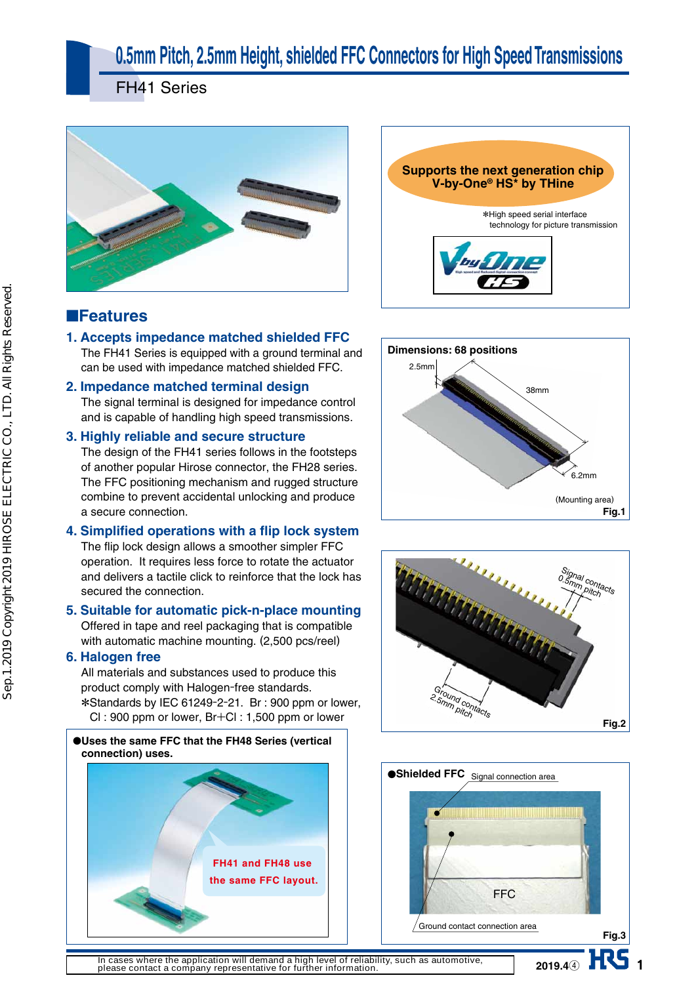# **0.5mm Pitch, 2.5mm Height, shielded FFC Connectors for High Speed Transmissions**

FH41 Series



#### ■**Features**

**1. Accepts impedance matched shielded FFC** The FH41 Series is equipped with a ground terminal and can be used with impedance matched shielded FFC.

#### **2. Impedance matched terminal design**

The signal terminal is designed for impedance control and is capable of handling high speed transmissions.

#### **3. Highly reliable and secure structure**

The design of the FH41 series follows in the footsteps of another popular Hirose connector, the FH28 series. The FFC positioning mechanism and rugged structure combine to prevent accidental unlocking and produce a secure connection.

#### **4. Simplified operations with a flip lock system** The flip lock design allows a smoother simpler FFC operation. It requires less force to rotate the actuator and delivers a tactile click to reinforce that the lock has

secured the connection. **5. Suitable for automatic pick-n-place mounting**

Offered in tape and reel packaging that is compatible with automatic machine mounting. (2,500 pcs/reel)

#### **6. Halogen free**

All materials and substances used to produce this product comply with Halogen-free standards. \* Standards by IEC 61249-2-21. Br : 900 ppm or lower, Cl : 900 ppm or lower, Br+Cl : 1,500 ppm or lower











1 **2019.4**④

**In cases where the application will demand a high level of reliability, such as automotive, please contact a company representative for further information.**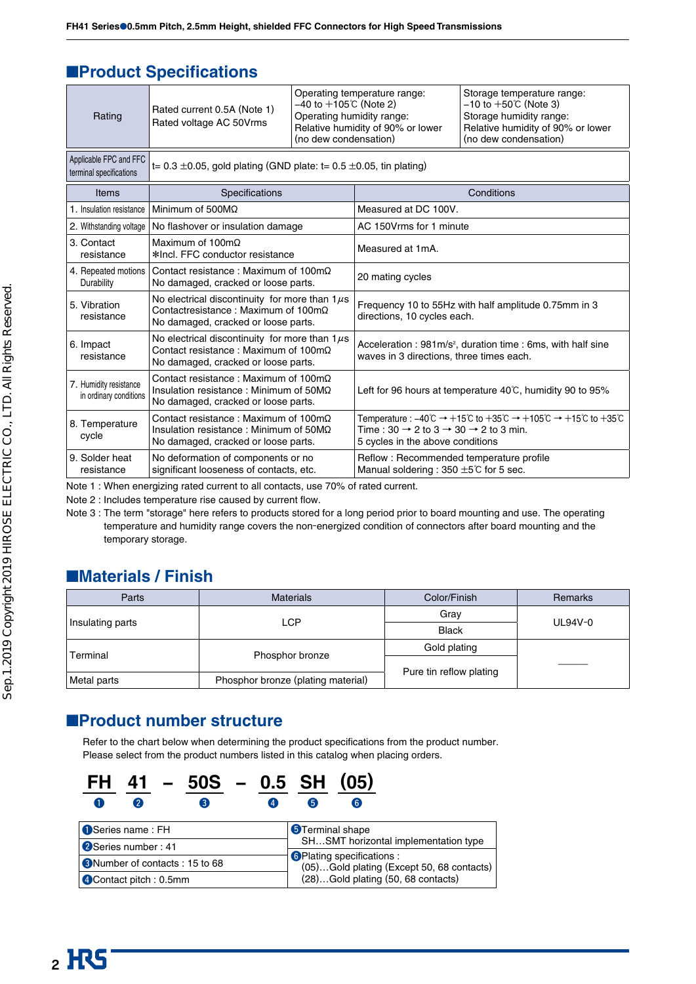#### ■**Product Specifications**

| Rating                                            | Rated current 0.5A (Note 1)<br>Rated voltage AC 50Vrms                                                                                           | $-40$ to $+105$ °C (Note 2)<br>Operating humidity range:<br>(no dew condensation) | Operating temperature range:<br>Relative humidity of 90% or lower                                                                                                                                                                                                                                       | Storage temperature range:<br>$-10$ to $+50$ °C (Note 3)<br>Storage humidity range:<br>Relative humidity of 90% or lower<br>(no dew condensation) |  |
|---------------------------------------------------|--------------------------------------------------------------------------------------------------------------------------------------------------|-----------------------------------------------------------------------------------|---------------------------------------------------------------------------------------------------------------------------------------------------------------------------------------------------------------------------------------------------------------------------------------------------------|---------------------------------------------------------------------------------------------------------------------------------------------------|--|
| Applicable FPC and FFC<br>terminal specifications | t= 0.3 $\pm$ 0.05, gold plating (GND plate: t= 0.5 $\pm$ 0.05, tin plating)                                                                      |                                                                                   |                                                                                                                                                                                                                                                                                                         |                                                                                                                                                   |  |
| Items                                             | Specifications                                                                                                                                   |                                                                                   | Conditions                                                                                                                                                                                                                                                                                              |                                                                                                                                                   |  |
| 1. Insulation resistance                          | Minimum of $500M\Omega$                                                                                                                          |                                                                                   | Measured at DC 100V.                                                                                                                                                                                                                                                                                    |                                                                                                                                                   |  |
| 2. Withstanding voltage                           | No flashover or insulation damage                                                                                                                |                                                                                   | AC 150Vrms for 1 minute                                                                                                                                                                                                                                                                                 |                                                                                                                                                   |  |
| 3. Contact<br>resistance                          | Maximum of $100 \text{m}\Omega$<br>*Incl. FFC conductor resistance                                                                               |                                                                                   | Measured at 1mA.                                                                                                                                                                                                                                                                                        |                                                                                                                                                   |  |
| 4. Repeated motions<br>Durability                 | Contact resistance: Maximum of $100 \text{m}\Omega$<br>No damaged, cracked or loose parts.                                                       |                                                                                   | 20 mating cycles                                                                                                                                                                                                                                                                                        |                                                                                                                                                   |  |
| 5. Vibration<br>resistance                        | No electrical discontinuity for more than $1\mu s$<br>Contactresistance: Maximum of $100 \text{m}\Omega$<br>No damaged, cracked or loose parts.  |                                                                                   | Frequency 10 to 55Hz with half amplitude 0.75mm in 3<br>directions, 10 cycles each.                                                                                                                                                                                                                     |                                                                                                                                                   |  |
| 6. Impact<br>resistance                           | No electrical discontinuity for more than $1\mu s$<br>Contact resistance: Maximum of $100 \text{m}\Omega$<br>No damaged, cracked or loose parts. |                                                                                   | Acceleration: 981m/s <sup>2</sup> , duration time: 6ms, with half sine<br>waves in 3 directions, three times each.                                                                                                                                                                                      |                                                                                                                                                   |  |
| 7. Humidity resistance<br>in ordinary conditions  | Contact resistance: Maximum of $100 \text{m}\Omega$<br>Insulation resistance: Minimum of $50M\Omega$<br>No damaged, cracked or loose parts.      |                                                                                   | Left for 96 hours at temperature 40°C, humidity 90 to 95%                                                                                                                                                                                                                                               |                                                                                                                                                   |  |
| 8. Temperature<br>cycle                           | Contact resistance: Maximum of $100 \text{m}\Omega$<br>Insulation resistance: Minimum of $50M\Omega$<br>No damaged, cracked or loose parts.      |                                                                                   | Temperature : $-40^{\circ}\text{C} \rightarrow +15^{\circ}\text{C}$ to $+35^{\circ}\text{C} \rightarrow +105^{\circ}\text{C} \rightarrow +15^{\circ}\text{C}$ to $+35^{\circ}\text{C}$<br>Time : 30 $\rightarrow$ 2 to 3 $\rightarrow$ 30 $\rightarrow$ 2 to 3 min.<br>5 cycles in the above conditions |                                                                                                                                                   |  |
| 9. Solder heat<br>resistance                      | No deformation of components or no<br>significant looseness of contacts, etc.                                                                    |                                                                                   | Reflow: Recommended temperature profile<br>Manual soldering : 350 $\pm$ 5°C for 5 sec.                                                                                                                                                                                                                  |                                                                                                                                                   |  |

Note 1 : When energizing rated current to all contacts, use 70% of rated current.

Note 2 : Includes temperature rise caused by current flow.

Note 3 : The term "storage" here refers to products stored for a long period prior to board mounting and use. The operating temperature and humidity range covers the non-energized condition of connectors after board mounting and the temporary storage.

### ■**Materials / Finish**

| Parts            | <b>Materials</b>                   | Color/Finish            | Remarks   |  |
|------------------|------------------------------------|-------------------------|-----------|--|
|                  | LCP                                | Grav                    | $UL94V-0$ |  |
| Insulating parts |                                    | <b>Black</b>            |           |  |
|                  |                                    | Gold plating            |           |  |
| Terminal         | Phosphor bronze                    |                         |           |  |
| Metal parts      | Phosphor bronze (plating material) | Pure tin reflow plating |           |  |
|                  |                                    |                         |           |  |

#### ■**Product number structure**

Refer to the chart below when determining the product specifications from the product number. Please select from the product numbers listed in this catalog when placing orders.

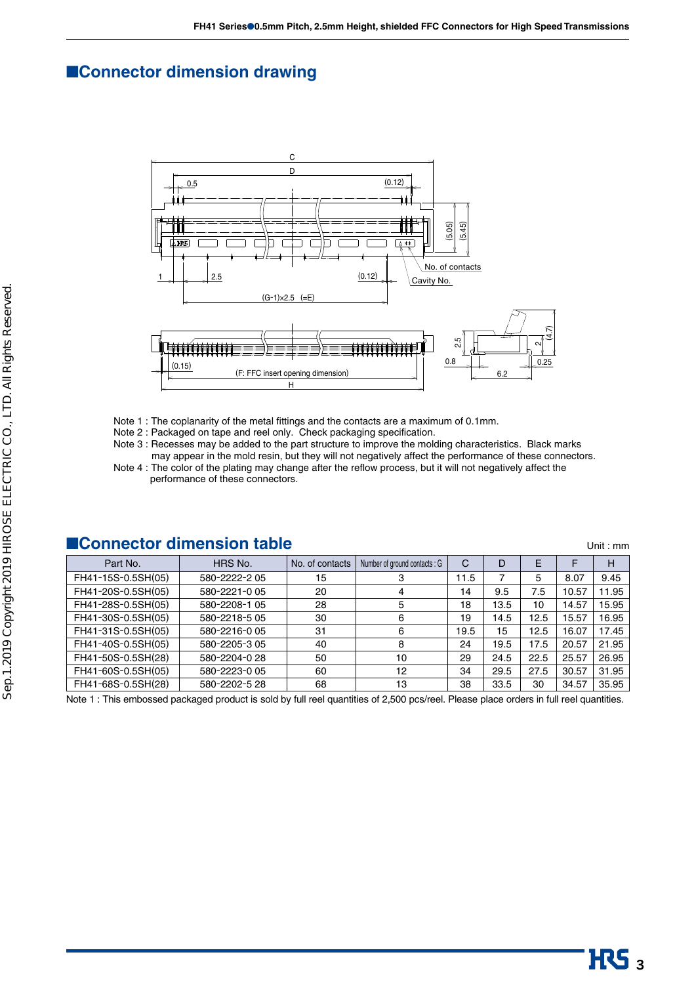#### ■**Connector dimension drawing**



- Note 1 : The coplanarity of the metal fittings and the contacts are a maximum of 0.1mm.
- Note 2 : Packaged on tape and reel only. Check packaging specification.
- Note 3 : Recesses may be added to the part structure to improve the molding characteristics. Black marks
- may appear in the mold resin, but they will not negatively affect the performance of these connectors. Note 4 : The color of the plating may change after the reflow process, but it will not negatively affect the performance of these connectors.

| ■Connector dimension table<br>Unit: $mm$ |               |                 |                              |              |      |      |       |       |
|------------------------------------------|---------------|-----------------|------------------------------|--------------|------|------|-------|-------|
| Part No.                                 | HRS No.       | No. of contacts | Number of ground contacts: G | $\mathsf{C}$ | D    | E    | F     | н     |
| FH41-15S-0.5SH(05)                       | 580-2222-205  | 15              | 3                            | 11.5         | 7    | 5    | 8.07  | 9.45  |
| FH41-20S-0.5SH(05)                       | 580-2221-005  | 20              | 4                            | 14           | 9.5  | 7.5  | 10.57 | 11.95 |
| FH41-28S-0.5SH(05)                       | 580-2208-1 05 | 28              | 5                            | 18           | 13.5 | 10   | 14.57 | 15.95 |
| FH41-30S-0.5SH(05)                       | 580-2218-5 05 | 30              | 6                            | 19           | 14.5 | 12.5 | 15.57 | 16.95 |
| FH41-31S-0.5SH(05)                       | 580-2216-005  | 31              | 6                            | 19.5         | 15   | 12.5 | 16.07 | 17.45 |
| FH41-40S-0.5SH(05)                       | 580-2205-305  | 40              | 8                            | 24           | 19.5 | 17.5 | 20.57 | 21.95 |
| FH41-50S-0.5SH(28)                       | 580-2204-028  | 50              | 10                           | 29           | 24.5 | 22.5 | 25.57 | 26.95 |
| FH41-60S-0.5SH(05)                       | 580-2223-0 05 | 60              | 12                           | 34           | 29.5 | 27.5 | 30.57 | 31.95 |
| FH41-68S-0.5SH(28)                       | 580-2202-5 28 | 68              | 13                           | 38           | 33.5 | 30   | 34.57 | 35.95 |

Note 1 : This embossed packaged product is sold by full reel quantities of 2,500 pcs/reel. Please place orders in full reel quantities.

# $\overline{\text{HS}}_3$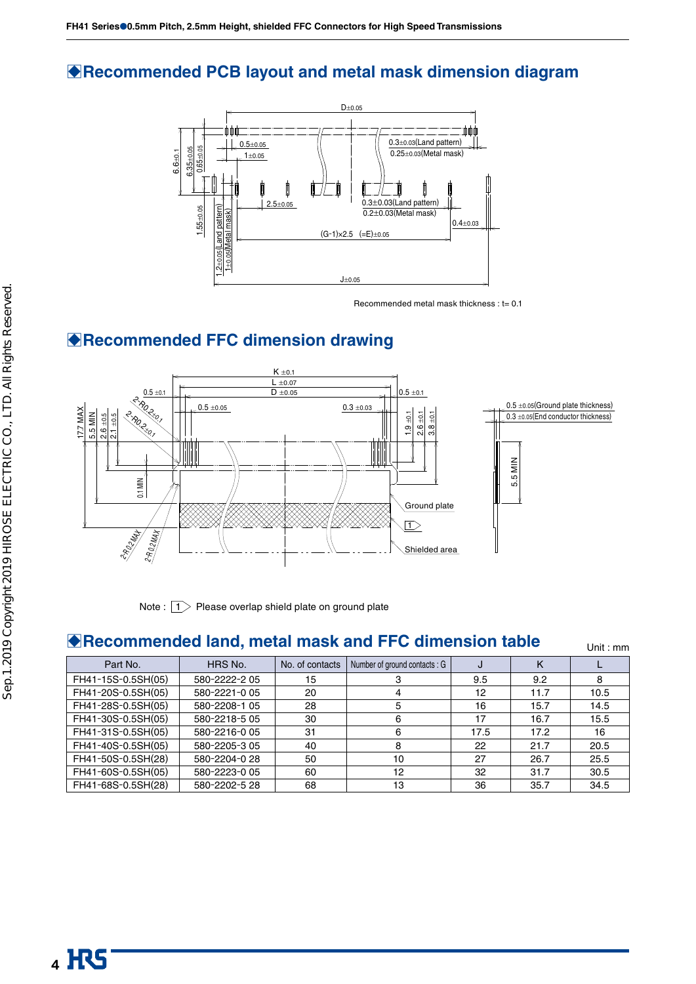#### B**Recommended PCB layout and metal mask dimension diagram**



Recommended metal mask thickness : t= 0.1

## B**Recommended FFC dimension drawing**



Note :  $\boxed{1}$  Please overlap shield plate on ground plate

### **Recommended land, metal mask and FFC dimension table** Unit: mm

| Part No.           | HRS No.       | No. of contacts | Number of ground contacts: G | J    | Κ    |      |
|--------------------|---------------|-----------------|------------------------------|------|------|------|
| FH41-15S-0.5SH(05) | 580-2222-205  | 15              |                              | 9.5  | 9.2  | 8    |
| FH41-20S-0.5SH(05) | 580-2221-005  | 20              |                              | 12   | 11.7 | 10.5 |
| FH41-28S-0.5SH(05) | 580-2208-1 05 | 28              | 5                            | 16   | 15.7 | 14.5 |
| FH41-30S-0.5SH(05) | 580-2218-5 05 | 30              | 6                            | 17   | 16.7 | 15.5 |
| FH41-31S-0.5SH(05) | 580-2216-005  | 31              | 6                            | 17.5 | 17.2 | 16   |
| FH41-40S-0.5SH(05) | 580-2205-305  | 40              | 8                            | 22   | 21.7 | 20.5 |
| FH41-50S-0.5SH(28) | 580-2204-028  | 50              | 10                           | 27   | 26.7 | 25.5 |
| FH41-60S-0.5SH(05) | 580-2223-0 05 | 60              | 12                           | 32   | 31.7 | 30.5 |
| FH41-68S-0.5SH(28) | 580-2202-5 28 | 68              | 13                           | 36   | 35.7 | 34.5 |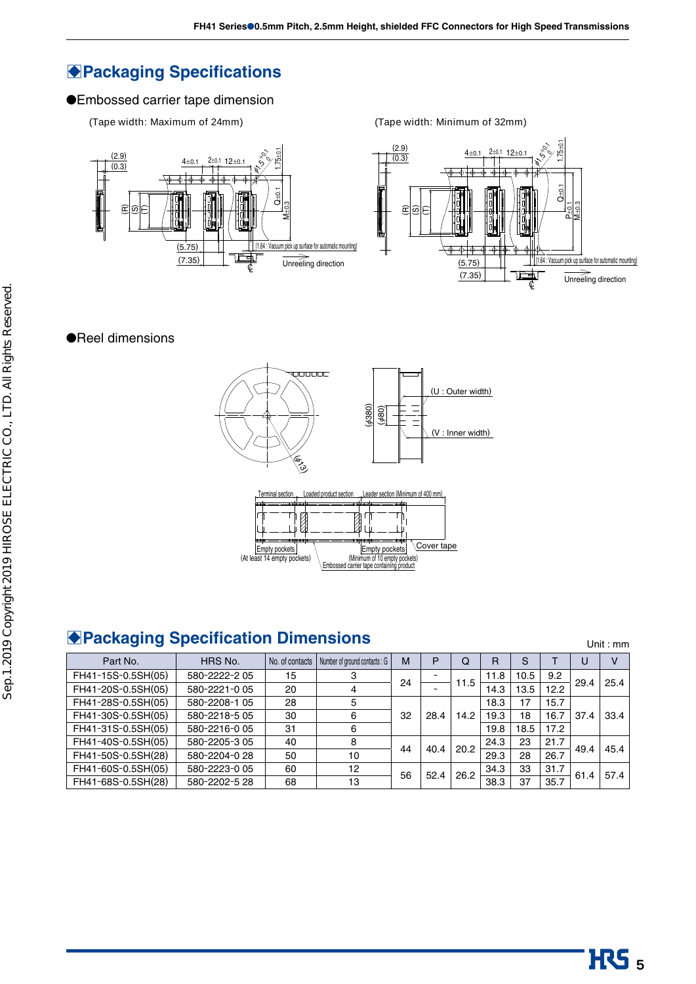### **Packaging Specifications**

#### ●Embossed carrier tape dimension

#### **(Tape width: Maximum of 24mm) (Tape width: Minimum of 32mm)**





#### ●Reel dimensions



## **BPackaging Specification Dimensions** The Contraction of the Unit : mm

Part No.  $|$  HRS No.  $|$  No. of contacts  $|$  Number of ground contacts : G  $|$  M  $|$  P  $|$  Q  $|$  R  $|$  S  $|$  T  $|$  U  $|$  V FH41-15S-0.5SH(05) 580-2222-2 05 15 3 24 1.5 11.5 11.8 10.5 9.2<br>FH41-20S-0.5SH(05) 580-2221-0 05 20 4 20 4 1.5 14.3 13.5 12.2 29.4 25.4 FH41-28S-0.5SH(05) 580-2208-1 05  $\vert$  28  $\vert$  5 32 | 28.4 | 14.2  $18.3$  17 15.7 FH41-30S-0.5SH(05) 580-2218-5 05 30 6 19.3 18 16.7 37.4 33.4 FH41-31S-0.5SH(05) 580-2216-0 05 31 6 19.8 18.5 17.2  $\left[ \begin{array}{c|c|c|c|c|c|c|c} \textsf{FH41-40S-0.5SH(05)} & \textsf{580-2205-3 05} & \textsf{40} & \textsf{8} & \textsf{44} & \textsf{40.4} & \textsf{20.2} & \textsf{24.3} & \textsf{23} & \textsf{21.7} \ \textsf{29.3} & \textsf{28} & \textsf{26.7} & \textsf{49.4} & \textsf{45.4} \end{array} \right] \end{array}$ FH41-60S-0.5SH(05) 580-2223-0 05 60 12 56 52.4 26.2 34.3 33 31.7 61.4 57.4<br>FH41-68S-0.5SH(28) 580-2202-5 28 68 13 38.4 38.3 37 35.7 61.4 57.4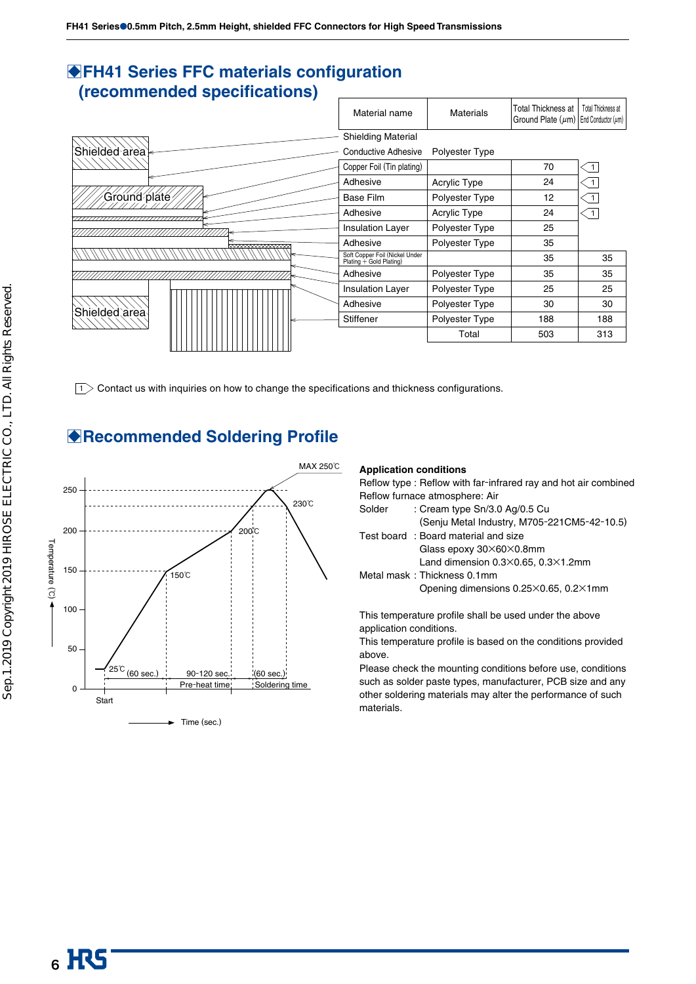#### **BFH41 Series FFC materials configuration (recommended specifications)**



 $\boxed{1}$  Contact us with inquiries on how to change the specifications and thickness configurations.

### B**Recommended Soldering Profile**



#### **Application conditions**

Reflow type : Reflow with far-infrared ray and hot air combined Reflow furnace atmosphere: Air

| <u>Figher Turnace</u> attribution All |        |                                                        |  |
|---------------------------------------|--------|--------------------------------------------------------|--|
|                                       | Solder | : Cream type Sn/3.0 Ag/0.5 Cu                          |  |
|                                       |        | (Senju Metal Industry, M705-221CM5-42-10.5)            |  |
|                                       |        | Test board: Board material and size                    |  |
|                                       |        | Glass epoxy 30×60×0.8mm                                |  |
|                                       |        | Land dimension $0.3 \times 0.65$ , $0.3 \times 1.2$ mm |  |
|                                       |        | Metal mask: Thickness 0.1mm                            |  |
|                                       |        | Opening dimensions 0.25×0.65, 0.2×1mm                  |  |
|                                       |        |                                                        |  |

This temperature profile shall be used under the above application conditions.

This temperature profile is based on the conditions provided above.

Please check the mounting conditions before use, conditions such as solder paste types, manufacturer, PCB size and any other soldering materials may alter the performance of such materials.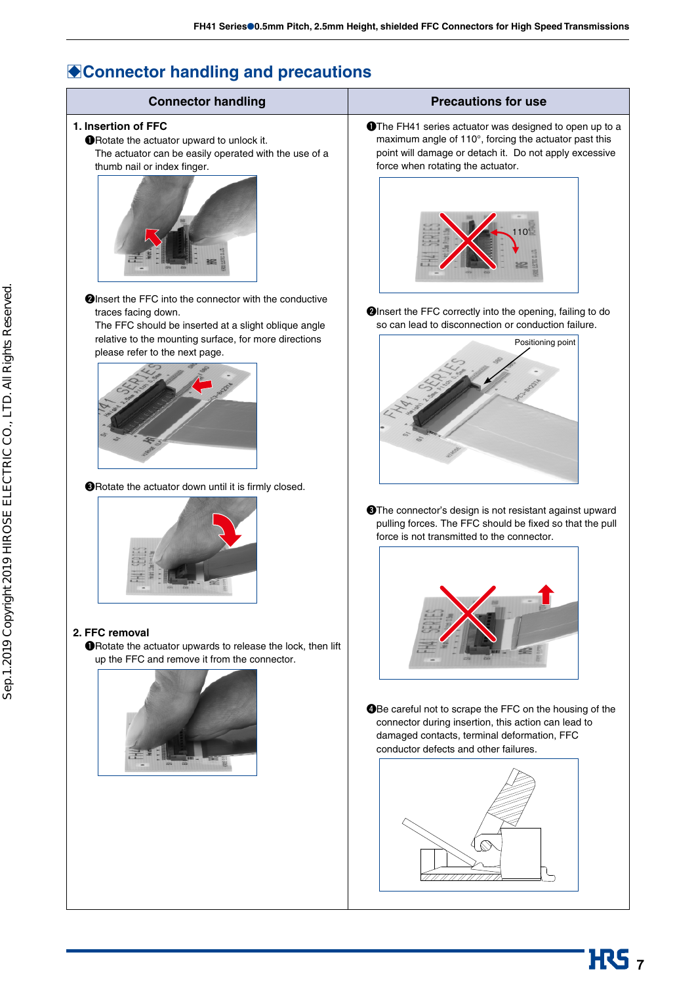## **Connector handling and precautions**

| <b>Connector handling</b>                                                                                                                                        | <b>Precautions for use</b>                                                                                                                                                                                             |
|------------------------------------------------------------------------------------------------------------------------------------------------------------------|------------------------------------------------------------------------------------------------------------------------------------------------------------------------------------------------------------------------|
| 1. Insertion of FFC<br><b>O</b> Rotate the actuator upward to unlock it.<br>The actuator can be easily operated with the use of a<br>thumb nail or index finger. | <b>O</b> The FH41 series actuator was designed to open up to a<br>maximum angle of 110°, forcing the actuator past this<br>point will damage or detach it. Do not apply excessive<br>force when rotating the actuator. |
|                                                                                                                                                                  |                                                                                                                                                                                                                        |
| <b>@Insert the FFC into the connector with the conductive</b><br>traces facing down.                                                                             | <b>@Insert the FFC correctly into the opening, failing to do</b>                                                                                                                                                       |
| The FFC should be inserted at a slight oblique angle<br>relative to the mounting surface, for more directions                                                    | so can lead to disconnection or conduction failure.<br>Positioning point                                                                                                                                               |
| please refer to the next page.                                                                                                                                   |                                                                                                                                                                                                                        |
| <b>O</b> Rotate the actuator down until it is firmly closed.                                                                                                     |                                                                                                                                                                                                                        |
| 2. FFC removal                                                                                                                                                   | <b>O</b> The connector's design is not resistant against upward<br>pulling forces. The FFC should be fixed so that the pull<br>force is not transmitted to the connector.                                              |
| <b>O</b> Rotate the actuator upwards to release the lock, then lift<br>up the FFC and remove it from the connector.                                              |                                                                                                                                                                                                                        |
|                                                                                                                                                                  | <b>@Be careful not to scrape the FFC on the housing of the</b><br>connector during insertion, this action can lead to<br>damaged contacts, terminal deformation, FFC<br>conductor defects and other failures.          |
|                                                                                                                                                                  |                                                                                                                                                                                                                        |
|                                                                                                                                                                  |                                                                                                                                                                                                                        |

**HRS**